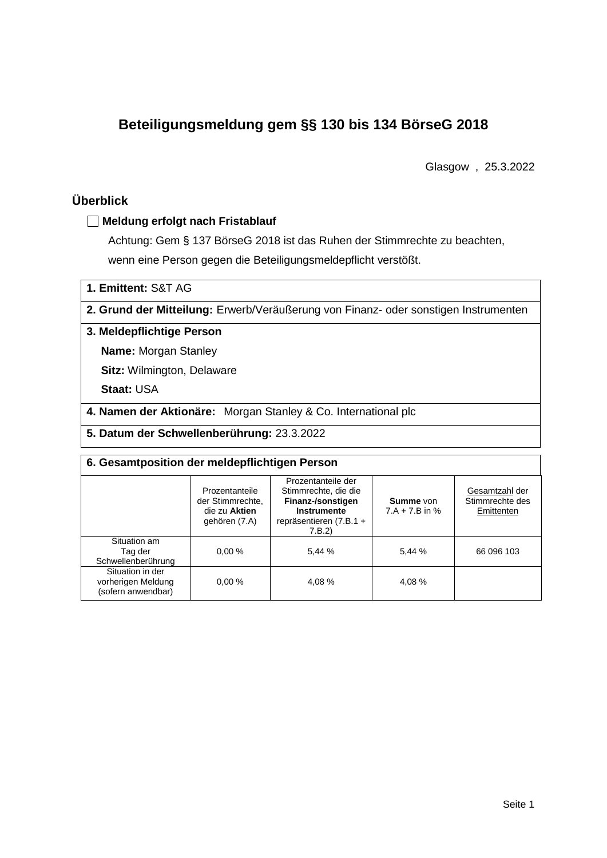# **Beteiligungsmeldung gem §§ 130 bis 134 BörseG 2018**

Glasgow , 25.3.2022

# **Überblick**

### **Meldung erfolgt nach Fristablauf**

Achtung: Gem § 137 BörseG 2018 ist das Ruhen der Stimmrechte zu beachten, wenn eine Person gegen die Beteiligungsmeldepflicht verstößt.

**1. Emittent:** S&T AG

**2. Grund der Mitteilung:** Erwerb/Veräußerung von Finanz- oder sonstigen Instrumenten

### **3. Meldepflichtige Person**

**Name:** Morgan Stanley

**Sitz:** Wilmington, Delaware

**Staat:** USA

**4. Namen der Aktionäre:** Morgan Stanley & Co. International plc

**5. Datum der Schwellenberührung:** 23.3.2022

| 6. Gesamtposition der meldepflichtigen Person                |                                                                      |                                                                                                                      |                                      |                                                 |  |  |  |
|--------------------------------------------------------------|----------------------------------------------------------------------|----------------------------------------------------------------------------------------------------------------------|--------------------------------------|-------------------------------------------------|--|--|--|
|                                                              | Prozentanteile<br>der Stimmrechte.<br>die zu Aktien<br>gehören (7.A) | Prozentanteile der<br>Stimmrechte, die die<br>Finanz-/sonstigen<br>Instrumente<br>repräsentieren $(7.B.1 +$<br>7.B.2 | <b>Summe</b> von<br>$7.A + 7.B$ in % | Gesamtzahl der<br>Stimmrechte des<br>Emittenten |  |  |  |
| Situation am<br>Tag der<br>Schwellenberührung                | 0.00%                                                                | 5.44 %                                                                                                               | 5,44 %                               | 66 096 103                                      |  |  |  |
| Situation in der<br>vorherigen Meldung<br>(sofern anwendbar) | 0.00%                                                                | 4.08%                                                                                                                | 4,08 %                               |                                                 |  |  |  |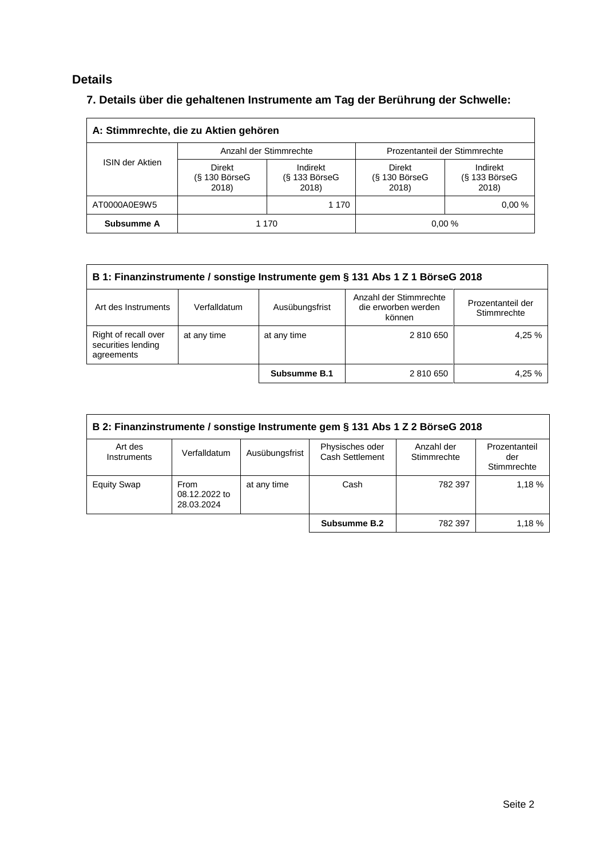# **Details**

# **7. Details über die gehaltenen Instrumente am Tag der Berührung der Schwelle:**

| A: Stimmrechte, die zu Aktien gehören |                                    |                                         |                                    |                                    |  |  |  |  |
|---------------------------------------|------------------------------------|-----------------------------------------|------------------------------------|------------------------------------|--|--|--|--|
|                                       |                                    | Anzahl der Stimmrechte                  | Prozentanteil der Stimmrechte      |                                    |  |  |  |  |
| <b>ISIN der Aktien</b>                | Direkt<br>$(S$ 130 BörseG<br>2018) | Indirekt<br>$(S$ 133 Börse $G$<br>2018) | Direkt<br>$(S$ 130 BörseG<br>2018) | Indirekt<br>(§ 133 BörseG<br>2018) |  |  |  |  |
| AT0000A0E9W5                          |                                    | 1 1 7 0                                 |                                    | 0.00%                              |  |  |  |  |
| Subsumme A                            | 0.00%<br>1 1 7 0                   |                                         |                                    |                                    |  |  |  |  |

| B 1: Finanzinstrumente / sonstige Instrumente gem § 131 Abs 1 Z 1 BörseG 2018                                 |              |                     |                                                         |                                  |  |
|---------------------------------------------------------------------------------------------------------------|--------------|---------------------|---------------------------------------------------------|----------------------------------|--|
| Art des Instruments                                                                                           | Verfalldatum | Ausübungsfrist      | Anzahl der Stimmrechte<br>die erworben werden<br>können | Prozentanteil der<br>Stimmrechte |  |
| Right of recall over<br>4.25 %<br>at any time<br>at any time<br>2 810 650<br>securities lending<br>agreements |              |                     |                                                         |                                  |  |
|                                                                                                               |              | <b>Subsumme B.1</b> | 2 810 650                                               | 4.25 %                           |  |

| B 2: Finanzinstrumente / sonstige Instrumente gem § 131 Abs 1 Z 2 BörseG 2018 |                                     |                |                                           |                           |                                     |  |
|-------------------------------------------------------------------------------|-------------------------------------|----------------|-------------------------------------------|---------------------------|-------------------------------------|--|
| Art des<br>Instruments                                                        | Verfalldatum                        | Ausübungsfrist | Physisches oder<br><b>Cash Settlement</b> | Anzahl der<br>Stimmrechte | Prozentanteil<br>der<br>Stimmrechte |  |
| <b>Equity Swap</b>                                                            | From<br>08.12.2022 to<br>28.03.2024 | at any time    | Cash                                      | 782 397                   | 1,18%                               |  |
|                                                                               |                                     |                | Subsumme B.2                              | 782 397                   | 1.18%                               |  |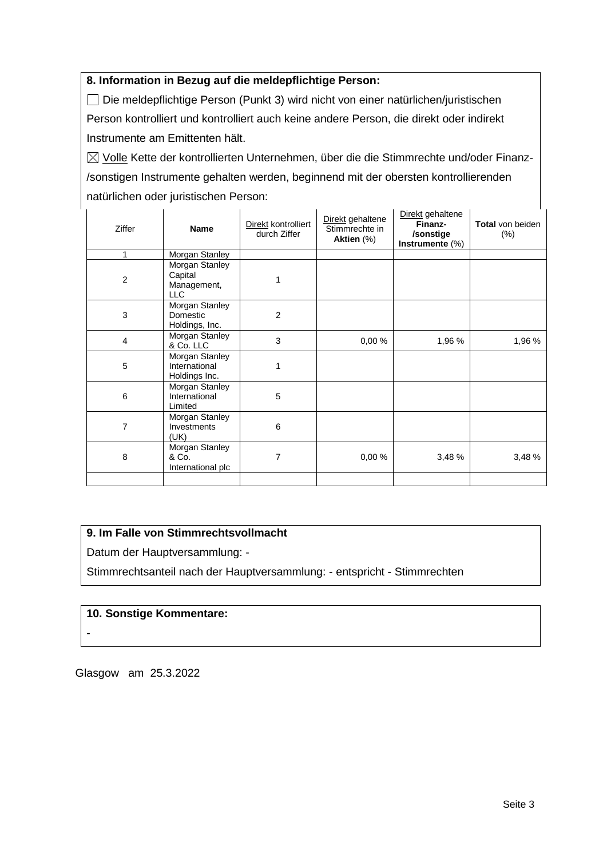### **8. Information in Bezug auf die meldepflichtige Person:**

Die meldepflichtige Person (Punkt 3) wird nicht von einer natürlichen/juristischen Person kontrolliert und kontrolliert auch keine andere Person, die direkt oder indirekt Instrumente am Emittenten hält.

 $\boxtimes$  Volle Kette der kontrollierten Unternehmen, über die die Stimmrechte und/oder Finanz-/sonstigen Instrumente gehalten werden, beginnend mit der obersten kontrollierenden natürlichen oder juristischen Person:

| Ziffer         | <b>Name</b>                                            | Direkt kontrolliert<br>durch Ziffer | Direkt gehaltene<br>Stimmrechte in<br>Aktien (%) | Direkt gehaltene<br>Finanz-<br>/sonstige<br>Instrumente (%) | <b>Total von beiden</b><br>$(\%)$ |
|----------------|--------------------------------------------------------|-------------------------------------|--------------------------------------------------|-------------------------------------------------------------|-----------------------------------|
| 1              | Morgan Stanley                                         |                                     |                                                  |                                                             |                                   |
| $\overline{c}$ | Morgan Stanley<br>Capital<br>Management,<br><b>LLC</b> |                                     |                                                  |                                                             |                                   |
| 3              | Morgan Stanley<br>Domestic<br>Holdings, Inc.           | $\overline{2}$                      |                                                  |                                                             |                                   |
| $\overline{4}$ | Morgan Stanley<br>& Co. LLC                            | 3                                   | 0,00%                                            | 1,96 %                                                      | 1,96 %                            |
| 5              | Morgan Stanley<br>International<br>Holdings Inc.       | 1                                   |                                                  |                                                             |                                   |
| 6              | Morgan Stanley<br>International<br>Limited             | 5                                   |                                                  |                                                             |                                   |
| $\overline{7}$ | Morgan Stanley<br>Investments<br>(UK)                  | 6                                   |                                                  |                                                             |                                   |
| 8              | Morgan Stanley<br>& Co.<br>International plc           | 7                                   | 0,00%                                            | 3,48 %                                                      | 3,48 %                            |
|                |                                                        |                                     |                                                  |                                                             |                                   |

## **9. Im Falle von Stimmrechtsvollmacht**

Datum der Hauptversammlung: -

Stimmrechtsanteil nach der Hauptversammlung: - entspricht - Stimmrechten

#### **10. Sonstige Kommentare:**

Glasgow am 25.3.2022

<sup>-</sup>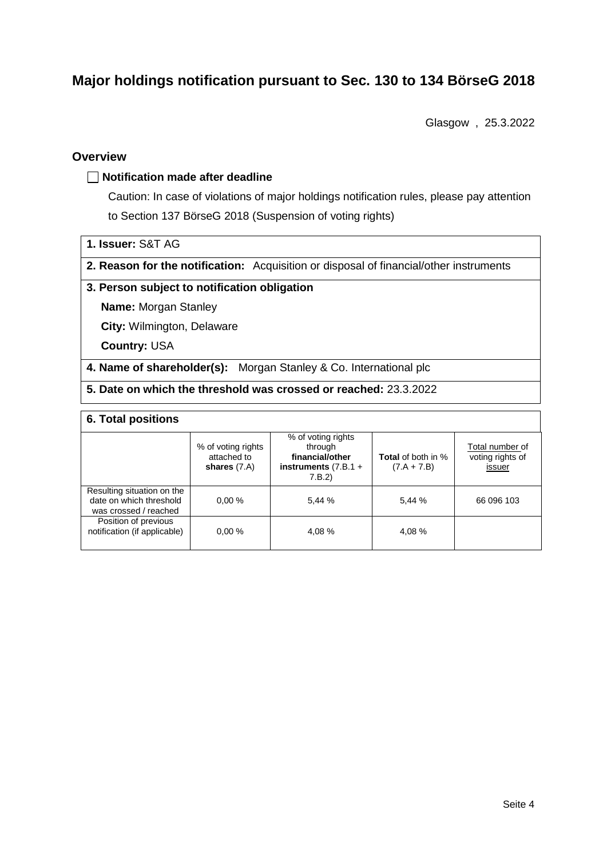# **Major holdings notification pursuant to Sec. 130 to 134 BörseG 2018**

Glasgow , 25.3.2022

#### **Overview**

#### **Notification made after deadline**

Caution: In case of violations of major holdings notification rules, please pay attention to Section 137 BörseG 2018 (Suspension of voting rights)

- **1. Issuer:** S&T AG
- **2. Reason for the notification:** Acquisition or disposal of financial/other instruments

#### **3. Person subject to notification obligation**

**Name:** Morgan Stanley

**City:** Wilmington, Delaware

**Country:** USA

**4. Name of shareholder(s):** Morgan Stanley & Co. International plc

**5. Date on which the threshold was crossed or reached:** 23.3.2022

### **6. Total positions**

|                                                                                | % of voting rights<br>attached to<br>shares $(7.A)$ | % of voting rights<br>through<br>financial/other<br>instruments $(7.B.1 +$<br>7.B.2 | <b>Total</b> of both in %<br>$(7.A + 7.B)$ | Total number of<br>voting rights of<br>issuer |
|--------------------------------------------------------------------------------|-----------------------------------------------------|-------------------------------------------------------------------------------------|--------------------------------------------|-----------------------------------------------|
| Resulting situation on the<br>date on which threshold<br>was crossed / reached | 0.00%                                               | 5.44 %                                                                              | 5.44 %                                     | 66 096 103                                    |
| Position of previous<br>notification (if applicable)                           | 0.00%                                               | 4.08 %                                                                              | 4.08 %                                     |                                               |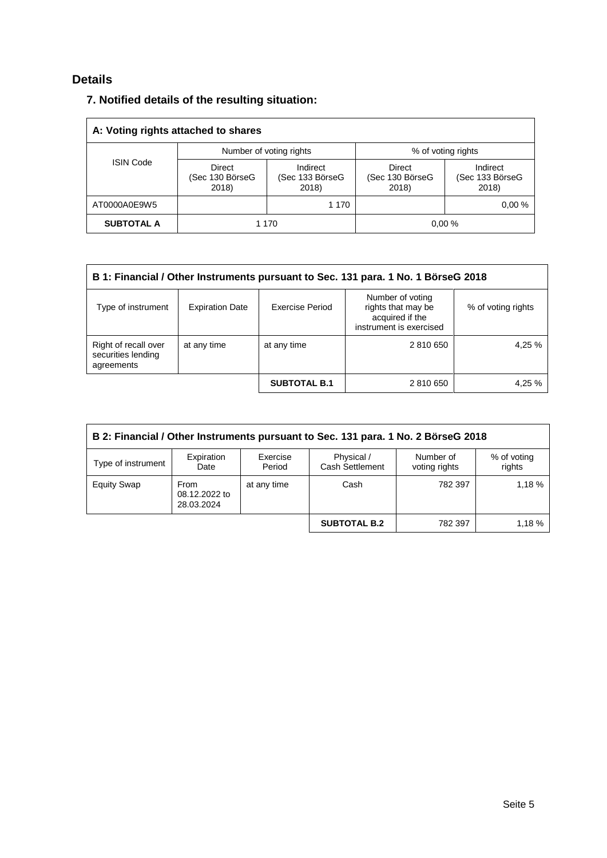# **Details**

## **7. Notified details of the resulting situation:**

| A: Voting rights attached to shares |                                           |                                      |                                           |                                      |  |  |  |  |
|-------------------------------------|-------------------------------------------|--------------------------------------|-------------------------------------------|--------------------------------------|--|--|--|--|
|                                     | Number of voting rights                   |                                      | % of voting rights                        |                                      |  |  |  |  |
| <b>ISIN Code</b>                    | <b>Direct</b><br>(Sec 130 BörseG<br>2018) | Indirect<br>(Sec 133 BörseG<br>2018) | <b>Direct</b><br>(Sec 130 BörseG<br>2018) | Indirect<br>(Sec 133 BörseG<br>2018) |  |  |  |  |
| AT0000A0E9W5                        |                                           | 1 1 7 0                              |                                           | 0.00%                                |  |  |  |  |
| <b>SUBTOTAL A</b>                   |                                           | 1 1 7 0                              |                                           | 0.00%                                |  |  |  |  |

| B 1: Financial / Other Instruments pursuant to Sec. 131 para. 1 No. 1 BörseG 2018 |                        |                     |                                                                                      |                    |  |  |
|-----------------------------------------------------------------------------------|------------------------|---------------------|--------------------------------------------------------------------------------------|--------------------|--|--|
| Type of instrument                                                                | <b>Expiration Date</b> | Exercise Period     | Number of voting<br>rights that may be<br>acquired if the<br>instrument is exercised | % of voting rights |  |  |
| Right of recall over<br>securities lending<br>agreements                          | at any time            | at any time         | 2 810 650                                                                            | 4,25 %             |  |  |
|                                                                                   |                        | <b>SUBTOTAL B.1</b> | 2 810 650                                                                            | 4,25 %             |  |  |

| B 2: Financial / Other Instruments pursuant to Sec. 131 para. 1 No. 2 BörseG 2018 |                                     |                    |                                      |                            |                       |  |  |
|-----------------------------------------------------------------------------------|-------------------------------------|--------------------|--------------------------------------|----------------------------|-----------------------|--|--|
| Type of instrument                                                                | Expiration<br>Date                  | Exercise<br>Period | Physical /<br><b>Cash Settlement</b> | Number of<br>voting rights | % of voting<br>rights |  |  |
| <b>Equity Swap</b>                                                                | From<br>08.12.2022 to<br>28.03.2024 | at any time        | Cash                                 | 782 397                    | 1.18%                 |  |  |
|                                                                                   |                                     |                    | <b>SUBTOTAL B.2</b>                  | 782 397                    | 1.18%                 |  |  |